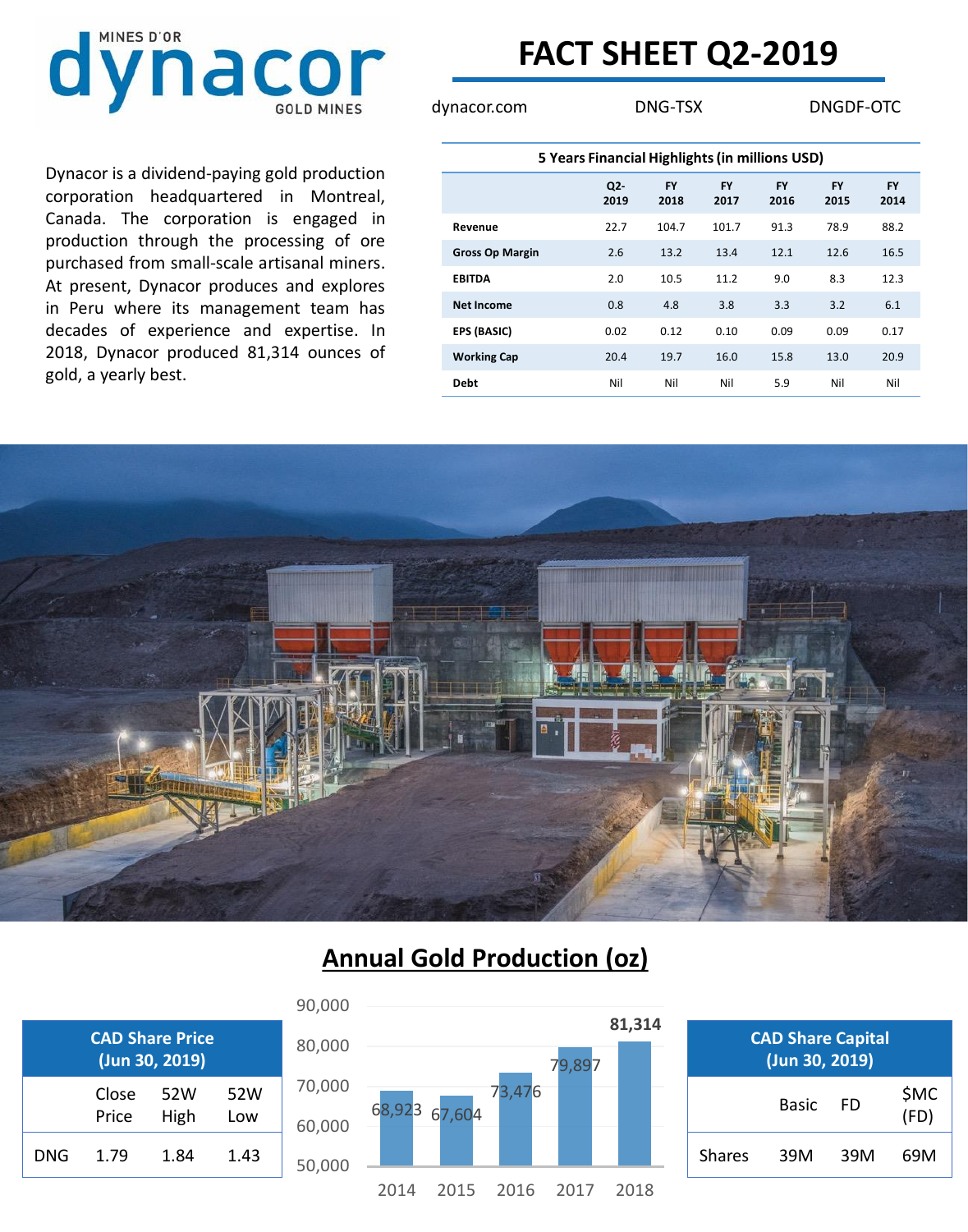

## **FACT SHEET Q2-2019**

dynacor.com DNG-TSX DNGDF-OTC

Dynacor is a dividend-paying gold production corporation headquartered in Montreal, Canada. The corporation is engaged in production through the processing of ore purchased from small-scale artisanal miners. At present, Dynacor produces and explores in Peru where its management team has decades of experience and expertise. In 2018, Dynacor produced 81,314 ounces of gold, a yearly best.

| 5 Years Financial Highlights (in millions USD) |               |                   |                   |                   |                   |                   |  |  |  |
|------------------------------------------------|---------------|-------------------|-------------------|-------------------|-------------------|-------------------|--|--|--|
|                                                | $Q2-$<br>2019 | <b>FY</b><br>2018 | <b>FY</b><br>2017 | <b>FY</b><br>2016 | <b>FY</b><br>2015 | <b>FY</b><br>2014 |  |  |  |
| Revenue                                        | 22.7          | 104.7             | 101.7             | 91.3              | 78.9              | 88.2              |  |  |  |
| <b>Gross Op Margin</b>                         | 2.6           | 13.2              | 13.4              | 12.1              | 12.6              | 16.5              |  |  |  |
| <b>EBITDA</b>                                  | 2.0           | 10.5              | 11.2              | 9.0               | 8.3               | 12.3              |  |  |  |
| <b>Net Income</b>                              | 0.8           | 4.8               | 3.8               | 3.3               | 3.2               | 6.1               |  |  |  |
| <b>EPS (BASIC)</b>                             | 0.02          | 0.12              | 0.10              | 0.09              | 0.09              | 0.17              |  |  |  |
| <b>Working Cap</b>                             | 20.4          | 19.7              | 16.0              | 15.8              | 13.0              | 20.9              |  |  |  |
| <b>Debt</b>                                    | Nil           | Nil               | Nil               | 5.9               | Nil               | Nil               |  |  |  |



### **Annual Gold Production (oz)**



| <b>CAD Share Price</b><br>(Jun 30, 2019) |       |      |      |  |  |  |
|------------------------------------------|-------|------|------|--|--|--|
|                                          | Close | 52W  | 52W  |  |  |  |
|                                          | Price | High | Low  |  |  |  |
| DNG.                                     | 1.79  | 1.84 | 1.43 |  |  |  |